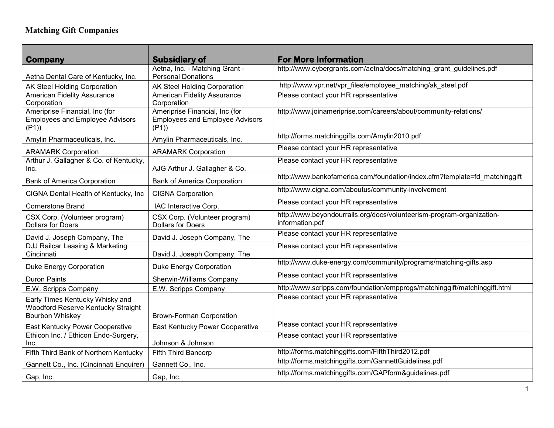| Company                                                                                         | <b>Subsidiary of</b>                                                     | <b>For More Information</b>                                                              |
|-------------------------------------------------------------------------------------------------|--------------------------------------------------------------------------|------------------------------------------------------------------------------------------|
|                                                                                                 | Aetna, Inc. - Matching Grant -                                           | http://www.cybergrants.com/aetna/docs/matching_grant_guidelines.pdf                      |
| Aetna Dental Care of Kentucky, Inc.                                                             | <b>Personal Donations</b>                                                |                                                                                          |
| AK Steel Holding Corporation                                                                    | AK Steel Holding Corporation                                             | http://www.vpr.net/vpr_files/employee_matching/ak_steel.pdf                              |
| <b>American Fidelity Assurance</b>                                                              | <b>American Fidelity Assurance</b>                                       | Please contact your HR representative                                                    |
| Corporation                                                                                     | Corporation                                                              |                                                                                          |
| Ameriprise Financial, Inc (for<br><b>Employees and Employee Advisors</b>                        | Ameriprise Financial, Inc (for<br><b>Employees and Employee Advisors</b> | http://www.joinameriprise.com/careers/about/community-relations/                         |
| (P1)                                                                                            | (P1)                                                                     | http://forms.matchinggifts.com/Amylin2010.pdf                                            |
| Amylin Pharmaceuticals, Inc.                                                                    | Amylin Pharmaceuticals, Inc.                                             |                                                                                          |
| <b>ARAMARK Corporation</b>                                                                      | <b>ARAMARK Corporation</b>                                               | Please contact your HR representative                                                    |
| Arthur J. Gallagher & Co. of Kentucky,<br>Inc.                                                  | AJG Arthur J. Gallagher & Co.                                            | Please contact your HR representative                                                    |
| <b>Bank of America Corporation</b>                                                              | <b>Bank of America Corporation</b>                                       | http://www.bankofamerica.com/foundation/index.cfm?template=fd matchinggift               |
| CIGNA Dental Health of Kentucky, Inc                                                            | <b>CIGNA Corporation</b>                                                 | http://www.cigna.com/aboutus/community-involvement                                       |
| <b>Cornerstone Brand</b>                                                                        | IAC Interactive Corp.                                                    | Please contact your HR representative                                                    |
| CSX Corp. (Volunteer program)<br><b>Dollars for Doers</b>                                       | CSX Corp. (Volunteer program)<br><b>Dollars for Doers</b>                | http://www.beyondourrails.org/docs/volunteerism-program-organization-<br>information.pdf |
| David J. Joseph Company, The                                                                    | David J. Joseph Company, The                                             | Please contact your HR representative                                                    |
| DJJ Railcar Leasing & Marketing<br>Cincinnati                                                   | David J. Joseph Company, The                                             | Please contact your HR representative                                                    |
| <b>Duke Energy Corporation</b>                                                                  | <b>Duke Energy Corporation</b>                                           | http://www.duke-energy.com/community/programs/matching-gifts.asp                         |
| <b>Duron Paints</b>                                                                             | Sherwin-Williams Company                                                 | Please contact your HR representative                                                    |
| E.W. Scripps Company                                                                            | E.W. Scripps Company                                                     | http://www.scripps.com/foundation/empprogs/matchinggift/matchinggift.html                |
| Early Times Kentucky Whisky and<br>Woodford Reserve Kentucky Straight<br><b>Bourbon Whiskey</b> | <b>Brown-Forman Corporation</b>                                          | Please contact your HR representative                                                    |
| East Kentucky Power Cooperative                                                                 | East Kentucky Power Cooperative                                          | Please contact your HR representative                                                    |
| Ethicon Inc. / Ethicon Endo-Surgery,<br>Inc.                                                    | Johnson & Johnson                                                        | Please contact your HR representative                                                    |
| Fifth Third Bank of Northern Kentucky                                                           | Fifth Third Bancorp                                                      | http://forms.matchinggifts.com/FifthThird2012.pdf                                        |
| Gannett Co., Inc. (Cincinnati Enquirer)                                                         | Gannett Co., Inc.                                                        | http://forms.matchinggifts.com/GannettGuidelines.pdf                                     |
| Gap, Inc.                                                                                       | Gap, Inc.                                                                | http://forms.matchinggifts.com/GAPform&guidelines.pdf                                    |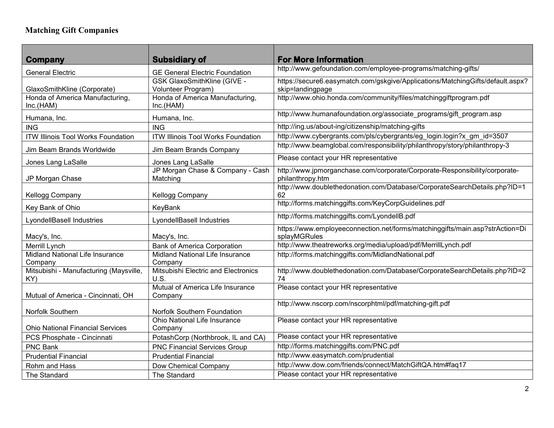## **Matching Gift Companies**

| Company                                       | <b>Subsidiary of</b>                        | <b>For More Information</b>                                                                  |
|-----------------------------------------------|---------------------------------------------|----------------------------------------------------------------------------------------------|
| <b>General Electric</b>                       | <b>GE General Electric Foundation</b>       | http://www.gefoundation.com/employee-programs/matching-gifts/                                |
|                                               | <b>GSK GlaxoSmithKline (GIVE -</b>          | https://secure6.easymatch.com/gskgive/Applications/MatchingGifts/default.aspx?               |
| GlaxoSmithKline (Corporate)                   | Volunteer Program)                          | skip=landingpage                                                                             |
| Honda of America Manufacturing,               | Honda of America Manufacturing,             | http://www.ohio.honda.com/community/files/matchinggiftprogram.pdf                            |
| Inc.(HAM)                                     | Inc.(HAM)                                   |                                                                                              |
| Humana, Inc.                                  | Humana, Inc.                                | http://www.humanafoundation.org/associate_programs/gift_program.asp                          |
| <b>ING</b>                                    | <b>ING</b>                                  | http://ing.us/about-ing/citizenship/matching-gifts                                           |
| <b>ITW Illinois Tool Works Foundation</b>     | <b>ITW Illinois Tool Works Foundation</b>   | http://www.cybergrants.com/pls/cybergrants/eg_login.login?x_gm_id=3507                       |
| Jim Beam Brands Worldwide                     | Jim Beam Brands Company                     | http://www.beamglobal.com/responsibility/philanthropy/story/philanthropy-3                   |
| Jones Lang LaSalle                            | Jones Lang LaSalle                          | Please contact your HR representative                                                        |
|                                               | JP Morgan Chase & Company - Cash            | http://www.jpmorganchase.com/corporate/Corporate-Responsibility/corporate-                   |
| JP Morgan Chase                               | Matching                                    | philanthropy.htm                                                                             |
| Kellogg Company                               | Kellogg Company                             | http://www.doublethedonation.com/Database/CorporateSearchDetails.php?ID=1<br>62              |
| Key Bank of Ohio                              | KeyBank                                     | http://forms.matchinggifts.com/KeyCorpGuidelines.pdf                                         |
| <b>LyondellBasell Industries</b>              | LyondellBasell Industries                   | http://forms.matchinggifts.com/LyondellB.pdf                                                 |
| Macy's, Inc.                                  | Macy's, Inc.                                | https://www.employeeconnection.net/forms/matchinggifts/main.asp?strAction=Di<br>splayMGRules |
| Merrill Lynch                                 | <b>Bank of America Corporation</b>          | http://www.theatreworks.org/media/upload/pdf/MerrillLynch.pdf                                |
| Midland National Life Insurance               | Midland National Life Insurance             | http://forms.matchinggifts.com/MidlandNational.pdf                                           |
| Company                                       | Company                                     |                                                                                              |
| Mitsubishi - Manufacturing (Maysville,<br>KY) | Mitsubishi Electric and Electronics<br>U.S. | http://www.doublethedonation.com/Database/CorporateSearchDetails.php?ID=2<br>74              |
|                                               | Mutual of America Life Insurance            | Please contact your HR representative                                                        |
| Mutual of America - Cincinnati, OH            | Company                                     |                                                                                              |
|                                               |                                             | http://www.nscorp.com/nscorphtml/pdf/matching-gift.pdf                                       |
| Norfolk Southern                              | <b>Norfolk Southern Foundation</b>          |                                                                                              |
|                                               | Ohio National Life Insurance                | Please contact your HR representative                                                        |
| <b>Ohio National Financial Services</b>       | Company                                     |                                                                                              |
| PCS Phosphate - Cincinnati                    | PotashCorp (Northbrook, IL and CA)          | Please contact your HR representative                                                        |
| <b>PNC Bank</b>                               | <b>PNC Financial Services Group</b>         | http://forms.matchinggifts.com/PNC.pdf                                                       |
| <b>Prudential Financial</b>                   | <b>Prudential Financial</b>                 | http://www.easymatch.com/prudential                                                          |
| Rohm and Hass                                 | Dow Chemical Company                        | http://www.dow.com/friends/connect/MatchGiftQA.htm#faq17                                     |
| The Standard                                  | The Standard                                | Please contact your HR representative                                                        |